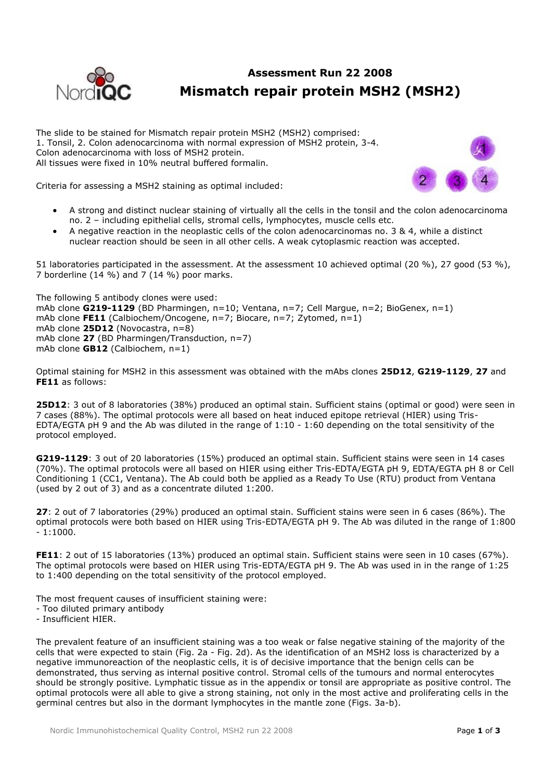

# **Assessment Run 22 2008 Mismatch repair protein MSH2 (MSH2)**

The slide to be stained for Mismatch repair protein MSH2 (MSH2) comprised: 1. Tonsil, 2. Colon adenocarcinoma with normal expression of MSH2 protein, 3-4. Colon adenocarcinoma with loss of MSH2 protein. All tissues were fixed in 10% neutral buffered formalin.





- A strong and distinct nuclear staining of virtually all the cells in the tonsil and the colon adenocarcinoma no. 2 – including epithelial cells, stromal cells, lymphocytes, muscle cells etc.
- A negative reaction in the neoplastic cells of the colon adenocarcinomas no. 3 & 4, while a distinct nuclear reaction should be seen in all other cells. A weak cytoplasmic reaction was accepted.

51 laboratories participated in the assessment. At the assessment 10 achieved optimal (20 %), 27 good (53 %), 7 borderline (14 %) and 7 (14 %) poor marks.

The following 5 antibody clones were used: mAb clone **G219-1129** (BD Pharmingen, n=10; Ventana, n=7; Cell Margue, n=2; BioGenex, n=1) mAb clone **FE11** (Calbiochem/Oncogene, n=7; Biocare, n=7; Zytomed, n=1) mAb clone **25D12** (Novocastra, n=8) mAb clone **27** (BD Pharmingen/Transduction, n=7) mAb clone **GB12** (Calbiochem, n=1)

Optimal staining for MSH2 in this assessment was obtained with the mAbs clones **25D12**, **G219-1129**, **27** and **FE11** as follows:

**25D12**: 3 out of 8 laboratories (38%) produced an optimal stain. Sufficient stains (optimal or good) were seen in 7 cases (88%). The optimal protocols were all based on heat induced epitope retrieval (HIER) using Tris-EDTA/EGTA pH 9 and the Ab was diluted in the range of 1:10 - 1:60 depending on the total sensitivity of the protocol employed.

**G219-1129**: 3 out of 20 laboratories (15%) produced an optimal stain. Sufficient stains were seen in 14 cases (70%). The optimal protocols were all based on HIER using either Tris-EDTA/EGTA pH 9, EDTA/EGTA pH 8 or Cell Conditioning 1 (CC1, Ventana). The Ab could both be applied as a Ready To Use (RTU) product from Ventana (used by 2 out of 3) and as a concentrate diluted 1:200.

**27**: 2 out of 7 laboratories (29%) produced an optimal stain. Sufficient stains were seen in 6 cases (86%). The optimal protocols were both based on HIER using Tris-EDTA/EGTA pH 9. The Ab was diluted in the range of 1:800  $-1:1000.$ 

**FE11**: 2 out of 15 laboratories (13%) produced an optimal stain. Sufficient stains were seen in 10 cases (67%). The optimal protocols were based on HIER using Tris-EDTA/EGTA pH 9. The Ab was used in in the range of 1:25 to 1:400 depending on the total sensitivity of the protocol employed.

The most frequent causes of insufficient staining were:

- Too diluted primary antibody
- Insufficient HIER.

The prevalent feature of an insufficient staining was a too weak or false negative staining of the majority of the cells that were expected to stain (Fig. 2a - Fig. 2d). As the identification of an MSH2 loss is characterized by a negative immunoreaction of the neoplastic cells, it is of decisive importance that the benign cells can be demonstrated, thus serving as internal positive control. Stromal cells of the tumours and normal enterocytes should be strongly positive. Lymphatic tissue as in the appendix or tonsil are appropriate as positive control. The optimal protocols were all able to give a strong staining, not only in the most active and proliferating cells in the germinal centres but also in the dormant lymphocytes in the mantle zone (Figs. 3a-b).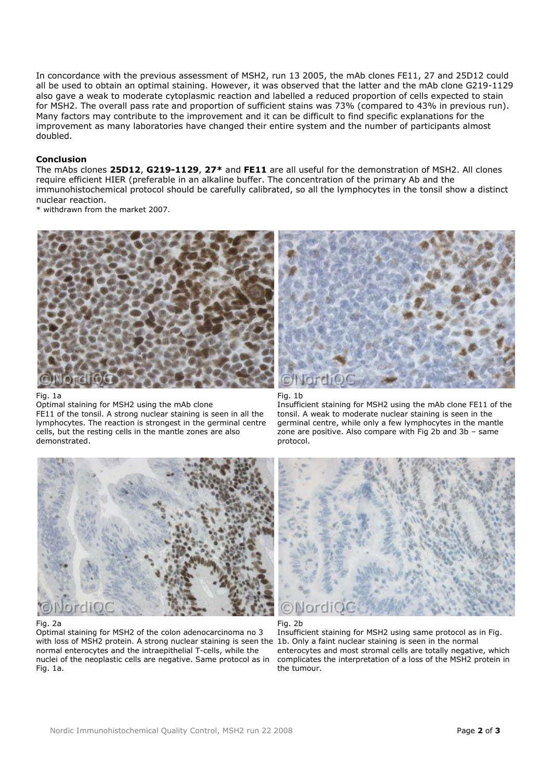In concordance with the previous assessment of MSH2, run 13 2005, the mAb clones FE11, 27 and 25D12 could all be used to obtain an optimal staining. However, it was observed that the latter and the mAb clone G219-1129 also gave a weak to moderate cytoplasmic reaction and labelled a reduced proportion of cells expected to stain for MSH2. The overall pass rate and proportion of sufficient stains was 73% (compared to 43% in previous run). Many factors may contribute to the improvement and it can be difficult to find specific explanations for the improvement as many laboratories have changed their entire system and the number of participants almost doubled.

# **Conclusion**

The mAbs clones **25D12**, **G219-1129**, **27\*** and **FE11** are all useful for the demonstration of MSH2. All clones require efficient HIER (preferable in an alkaline buffer. The concentration of the primary Ab and the immunohistochemical protocol should be carefully calibrated, so all the lymphocytes in the tonsil show a distinct nuclear reaction.

\* withdrawn from the market 2007.



#### Fig. 1a

Optimal staining for MSH2 using the mAb clone FE11 of the tonsil. A strong nuclear staining is seen in all the lymphocytes. The reaction is strongest in the germinal centre cells, but the resting cells in the mantle zones are also demonstrated.



#### Fig. 1b

Insufficient staining for MSH2 using the mAb clone FE11 of the tonsil. A weak to moderate nuclear staining is seen in the germinal centre, while only a few lymphocytes in the mantle zone are positive. Also compare with Fig 2b and 3b – same protocol.



## Fig. 2a

Optimal staining for MSH2 of the colon adenocarcinoma no 3 with loss of MSH2 protein. A strong nuclear staining is seen the 1b. Only a faint nuclear staining is seen in the normal normal enterocytes and the intraepithelial T-cells, while the nuclei of the neoplastic cells are negative. Same protocol as in Fig. 1a.



Fig. 2b

Insufficient staining for MSH2 using same protocol as in Fig. enterocytes and most stromal cells are totally negative, which complicates the interpretation of a loss of the MSH2 protein in the tumour.